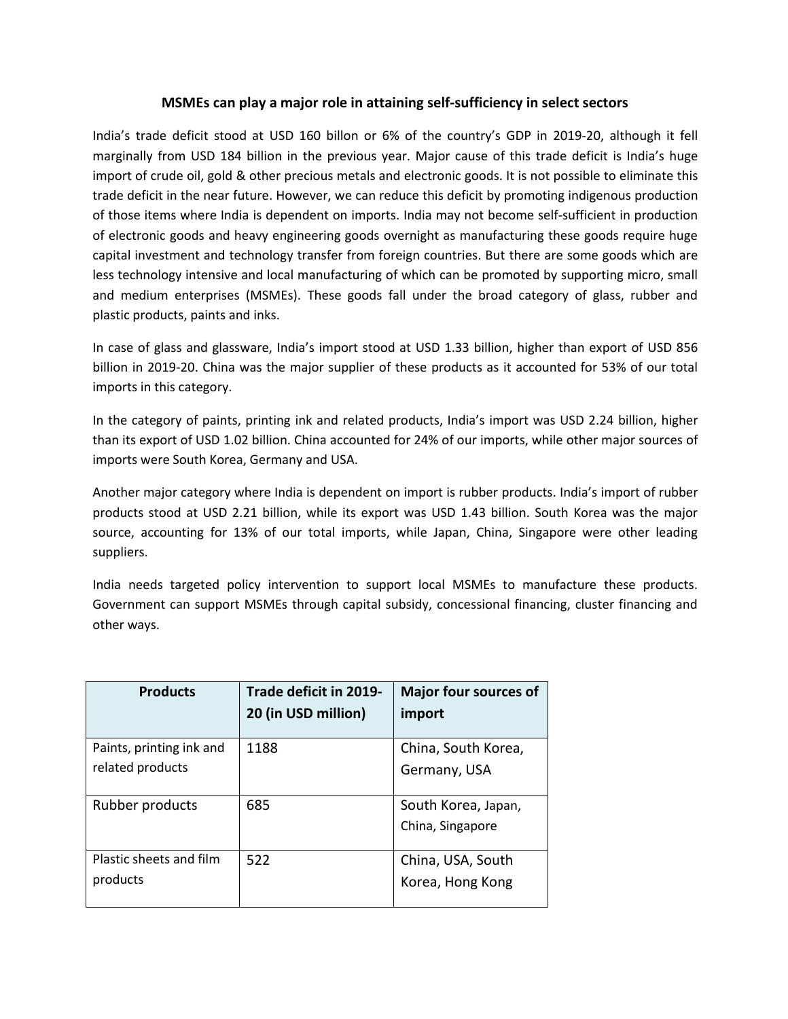## **MSMEs can play a majorrole in attaining self-sufficiency in select sectors**

India's trade deficit stood at USD 160 billon or 6% of the country's GDP in 2019-20, although it fell marginally from USD 184 billion in the previous year. Major cause of this trade deficit is India's huge import of crude oil, gold & other precious metals and electronic goods. It is not possible to eliminate this trade deficit in the near future. However, we can reduce this deficit by promoting indigenous production of those items where India is dependent on imports. India may not become self-sufficient in production of electronic goods and heavy engineering goods overnight as manufacturing these goods require huge capital investment and technology transfer from foreign countries. But there are some goods which are less technology intensive and local manufacturing of which can be promoted by supporting micro, small and medium enterprises (MSMEs). These goods fall under the broad category of glass, rubber and plastic products, paints and inks.

In case of glass and glassware, India's import stood at USD 1.33billion, higher than export of USD 856 billion in 2019-20. China was the major supplier of these products as it accounted for 53% of our total imports in this category.

In the category of paints, printing ink and related products, India's import was USD 2.24billion, higher than its export of USD 1.02 billion. China accounted for 24% of our imports, while other major sources of imports were South Korea, Germany and USA.

Another major category where India is dependent on import is rubber products. India's import of rubber products stood at USD 2.21billion, while its export was USD 1.43 billion. South Korea was the major source, accounting for 13% of our total imports, while Japan, China, Singapore were other leading suppliers.

India needs targeted policy intervention to support local MSMEs to manufacture these products. Government can support MSMEs through capital subsidy, concessional financing, cluster financing and other ways.

| <b>Products</b>                              | Trade deficit in 2019-<br>20 (in USD million) | <b>Major four sources of</b><br>import  |
|----------------------------------------------|-----------------------------------------------|-----------------------------------------|
| Paints, printing ink and<br>related products | 1188                                          | China, South Korea,<br>Germany, USA     |
| Rubber products                              | 685                                           | South Korea, Japan,<br>China, Singapore |
| Plastic sheets and film<br>products          | 522                                           | China, USA, South<br>Korea, Hong Kong   |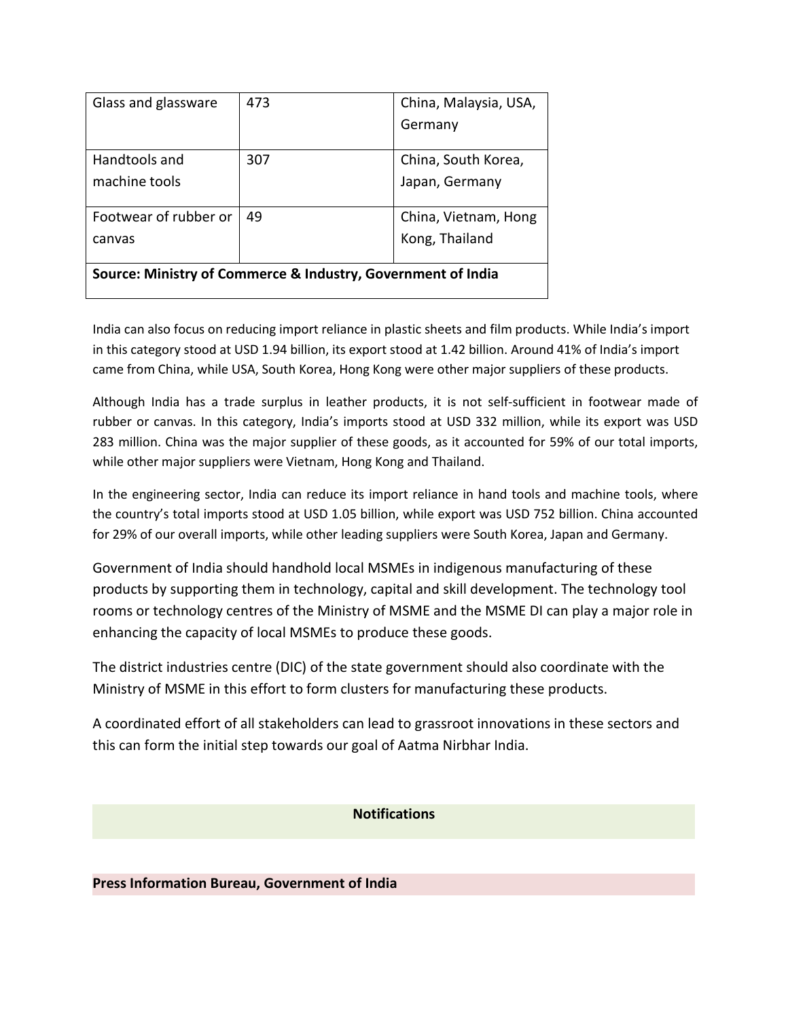| Glass and glassware                                          | 473 | China, Malaysia, USA, |  |
|--------------------------------------------------------------|-----|-----------------------|--|
|                                                              |     | Germany               |  |
|                                                              |     |                       |  |
| Handtools and                                                | 307 | China, South Korea,   |  |
| machine tools                                                |     | Japan, Germany        |  |
|                                                              |     |                       |  |
| Footwear of rubber or                                        | 49  | China, Vietnam, Hong  |  |
| canvas                                                       |     | Kong, Thailand        |  |
|                                                              |     |                       |  |
| Source: Ministry of Commerce & Industry, Government of India |     |                       |  |
|                                                              |     |                       |  |

India can also focus on reducing import reliance in plastic sheets and film products. While India's import in this category stood at USD 1.94 billion, its export stood at 1.42 billion. Around 41% of India's import came from China, while USA, South Korea, Hong Kong were other major suppliers of these products.

Although India has a trade surplus in leather products, it is not self-sufficient in footwear made of rubber or canvas. In this category, India's imports stood at USD 332 million, while its export was USD 283 million. China was the major supplier of these goods, as it accounted for 59% of our total imports, while other major suppliers were Vietnam, Hong Kong and Thailand.

In the engineering sector, India can reduce its import reliance in hand tools and machine tools, where the country's total imports stood at USD 1.05 billion, while export was USD 752 billion. China accounted for 29% of our overall imports, while other leading suppliers were South Korea, Japan and Germany.

Government of India should handhold local MSMEs in indigenous manufacturing of these products by supporting them in technology, capital and skill development. The technology tool rooms or technology centres of the Ministry of MSME and the MSME DI can play a major role in enhancing the capacity of local MSMEs to produce these goods.

The district industries centre (DIC) of the state government should also coordinate with the Ministry of MSME in this effort to form clusters for manufacturing these products.

A coordinated effort of all stakeholders can lead to grassroot innovations in these sectors and this can form the initial step towards our goal of Aatma Nirbhar India.

# **Notifications**

# **Press Information Bureau, Government of India**